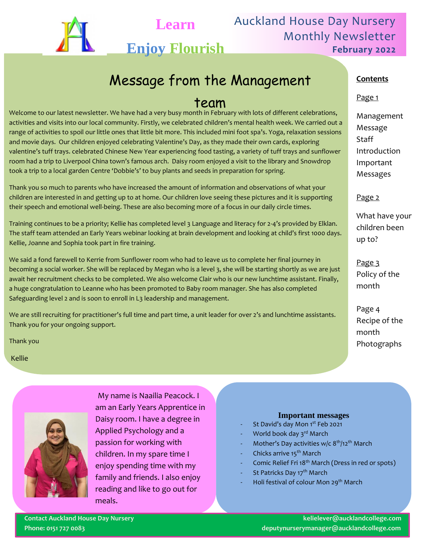

Auckland House Day Nursery Monthly Newsletter **February 2022**

# Message from the Management

### team

Welcome to our latest newsletter. We have had a very busy month in February with lots of different celebrations, activities and visits into our local community. Firstly, we celebrated children's mental health week. We carried out a range of activities to spoil our little ones that little bit more. This included mini foot spa's. Yoga, relaxation sessions and movie days. Our children enjoyed celebrating Valentine's Day, as they made their own cards, exploring valentine's tuff trays. celebrated Chinese New Year experiencing food tasting, a variety of tuff trays and sunflower room had a trip to Liverpool China town's famous arch. Daisy room enjoyed a visit to the library and Snowdrop took a trip to a local garden Centre 'Dobbie's' to buy plants and seeds in preparation for spring.

**Learn**

**Enjoy Flourish**

Thank you so much to parents who have increased the amount of information and observations of what your children are interested in and getting up to at home. Our children love seeing these pictures and it is supporting their speech and emotional well-being. These are also becoming more of a focus in our daily circle times.

Training continues to be a priority; Kellie has completed level 3 Language and literacy for 2-4's provided by Elklan. The staff team attended an Early Years webinar looking at brain development and looking at child's first 1000 days. Kellie, Joanne and Sophia took part in fire training.

We said a fond farewell to Kerrie from Sunflower room who had to leave us to complete her final journey in becoming a social worker. She will be replaced by Megan who is a level 3, she will be starting shortly as we are just await her recruitment checks to be completed. We also welcome Clair who is our new lunchtime assistant. Finally, a huge congratulation to Leanne who has been promoted to Baby room manager. She has also completed Safeguarding level 2 and is soon to enroll in L3 leadership and management.

We are still recruiting for practitioner's full time and part time, a unit leader for over 2's and lunchtime assistants. Thank you for your ongoing support.

Thank you

Kellie



My name is Naailia Peacock. I am an Early Years Apprentice in Daisy room. I have a degree in Applied Psychology and a passion for working with children. In my spare time I enjoy spending time with my family and friends. I also enjoy reading and like to go out for meals.

### **Important messages**

- St David's day Mon 1st Feb 2021
- World book day 3rd March
- Mother's Day activities w/c  $8<sup>th</sup>/12<sup>th</sup>$  March
- Chicks arrive 15<sup>th</sup> March
- Comic Relief Fri 18<sup>th</sup> March (Dress in red or spots)
- St Patricks Day 17<sup>th</sup> March
- Holi festival of colour Mon 29<sup>th</sup> March

#### **Contents**

#### Page 1

Management Message **Staff** Introduction Important Messages

#### Page 2

What have your children been up to?

Page 3 Policy of the month

Page 4 Recipe of the month Photographs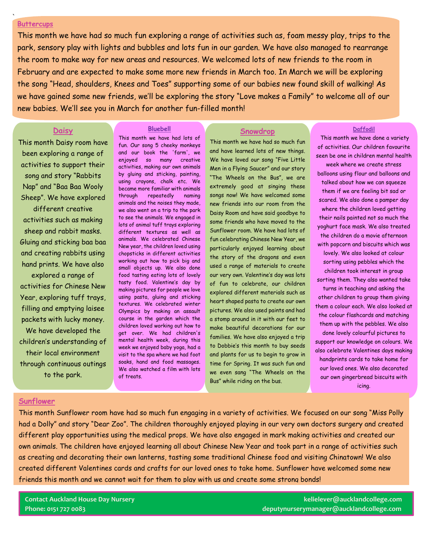#### **Buttercups**

`

This month we have had so much fun exploring a range of activities such as, foam messy play, trips to the park, sensory play with lights and bubbles and lots fun in our garden. We have also managed to rearrange the room to make way for new areas and resources. We welcomed lots of new friends to the room in February and are expected to make some more new friends in March too. In March we will be exploring the song "Head, shoulders, Knees and Toes" supporting some of our babies new found skill of walking! As we have gained some new friends, we'll be exploring the story "Love makes a Family" to welcome all of our new babies. We'll see you in March for another fun-filled month!

#### **Daisy**

This month Daisy room have been exploring a range of activities to support their song and story "Rabbits Nap" and "Baa Baa Wooly Sheep". We have explored different creative activities such as making sheep and rabbit masks. Gluing and sticking baa baa and creating rabbits using hand prints. We have also explored a range of activities for Chinese New Year, exploring tuff trays, filling and emptying laisee packets with lucky money. We have developed the children's understanding of their local environment through continuous outings to the park.

#### **Bluebell**

This month we have had lots of fun. Our song 5 cheeky monkeys and our book the 'farm', we enjoyed so many creative activities, making our own animals by gluing and sticking, painting, using crayons, chalk etc. We became more familiar with animals through repeatedly naming animals and the noises they made, we also went on a trip to the park to see the animals. We engaged in lots of animal tuff trays exploring different textures as well as animals. We celebrated Chinese New year, the children loved using chopsticks in different activities working out how to pick big and small objects up. We also done food tasting eating lots of lovely tasty food. Valentine's day by making pictures for people we love using pasta, gluing and sticking textures. We celebrated winter Olympics by making an assault course in the garden which the children loved working out how to get over. We had children's mental health week, during this week we enjoyed baby yoga, had a visit to the spa where we had foot soaks, hand and food massages. We also watched a film with lots of treats.

#### **Snowdrop**

This month we have had so much fun and have learned lots of new things. We have loved our song "Five Little Men in a Flying Saucer" and our story "The Wheels on the Bus", we are extremely good at singing these songs now! We have welcomed some new friends into our room from the Daisy Room and have said goodbye to some friends who have moved to the Sunflower room. We have had lots of fun celebrating Chinese New Year, we particularly enjoyed learning about the story of the dragons and even used a range of materials to create our very own. Valentine's day was lots of fun to celebrate, our children explored different materials such as heart shaped pasta to create our own pictures. We also used paints and had a stomp around in it with our feet to make beautiful decorations for our families. We have also enjoyed a trip to Dobbie's this month to buy seeds and plants for us to begin to grow in time for Spring. It was such fun and we even sang "The Wheels on the Bus" while riding on the bus.

#### **Daffodil**

This month we have done a variety of activities. Our children favourite seen be one in children mental health week where we create stress balloons using flour and balloons and talked about how we can squeeze them if we are feeling bit sad or scared. We also done a pamper day where the children loved getting their nails painted not so much the yoghurt face mask. We also treated the children do a movie afternoon with popcorn and biscuits which was lovely. We also looked at colour sorting using pebbles which the children took interest in group sorting them. They also wanted take turns in teaching and asking the other children to group them giving them a colour each. We also looked at the colour flashcards and matching them up with the pebbles. We also done lovely colourful pictures to support our knowledge on colours. We also celebrate Valentines days making handprints cards to take home for our loved ones. We also decorated our own gingerbread biscuits with icing.

#### **Sunflower**

This month Sunflower room have had so much fun engaging in a variety of activities. We focused on our song "Miss Polly had a Dolly" and story "Dear Zoo". The children thoroughly enjoyed playing in our very own doctors surgery and created different play opportunities using the medical props. We have also engaged in mark making activities and created our own animals. The children have enjoyed learning all about Chinese New Year and took part in a range of activities such as creating and decorating their own lanterns, tasting some traditional Chinese food and visiting Chinatown! We also created different Valentines cards and crafts for our loved ones to take home. Sunflower have welcomed some new friends this month and we cannot wait for them to play with us and create some strong bonds!

**Contact Auckland House Day Nursery kelielever@aucklandcollege.com Phone: 0151 727 0083 deputynurserymanager@aucklandcollege.com**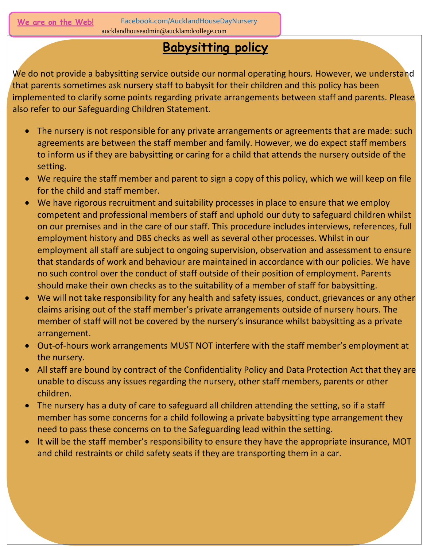Facebook.com/AucklandHouseDayNursery aucklandhouseadmin@aucklamdcollege.com

## **Babysitting policy**

We do not provide a babysitting service outside our normal operating hours. However, we understand that parents sometimes ask nursery staff to babysit for their children and this policy has been implemented to clarify some points regarding private arrangements between staff and parents. Please also refer to our Safeguarding Children Statement.

- The nursery is not responsible for any private arrangements or agreements that are made: such agreements are between the staff member and family. However, we do expect staff members to inform us if they are babysitting or caring for a child that attends the nursery outside of the setting.
- We require the staff member and parent to sign a copy of this policy, which we will keep on file for the child and staff member.
- We have rigorous recruitment and suitability processes in place to ensure that we employ competent and professional members of staff and uphold our duty to safeguard children whilst on our premises and in the care of our staff. This procedure includes interviews, references, full employment history and DBS checks as well as several other processes. Whilst in our employment all staff are subject to ongoing supervision, observation and assessment to ensure that standards of work and behaviour are maintained in accordance with our policies. We have no such control over the conduct of staff outside of their position of employment. Parents should make their own checks as to the suitability of a member of staff for babysitting.
- We will not take responsibility for any health and safety issues, conduct, grievances or any other claims arising out of the staff member's private arrangements outside of nursery hours. The member of staff will not be covered by the nursery's insurance whilst babysitting as a private arrangement.
- Out-of-hours work arrangements MUST NOT interfere with the staff member's employment at the nursery.
- All staff are bound by contract of the Confidentiality Policy and Data Protection Act that they are unable to discuss any issues regarding the nursery, other staff members, parents or other children.
- The nursery has a duty of care to safeguard all children attending the setting, so if a staff member has some concerns for a child following a private babysitting type arrangement they need to pass these concerns on to the Safeguarding lead within the setting.
- It will be the staff member's responsibility to ensure they have the appropriate insurance, MOT and child restraints or child safety seats if they are transporting them in a car.